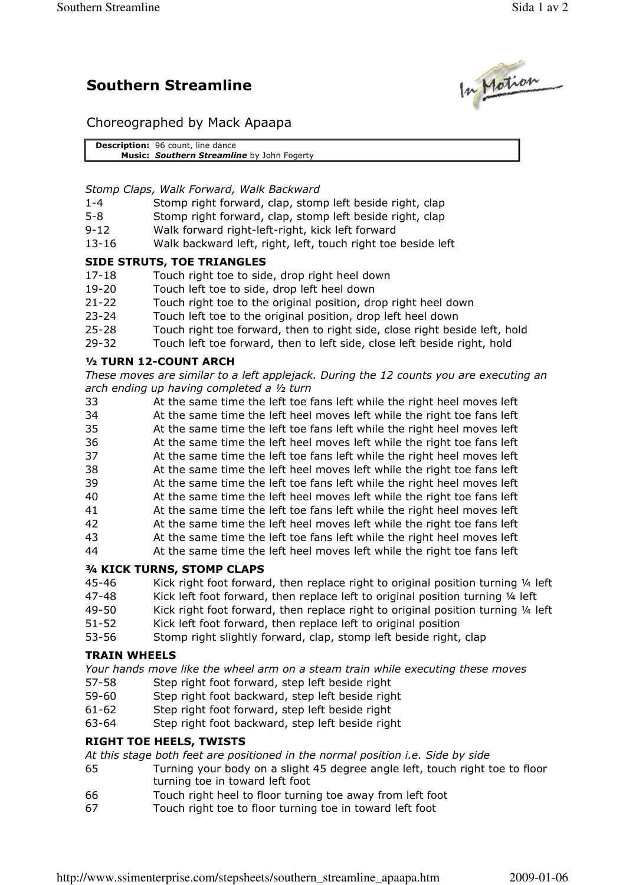# Southern Streamline



Choreographed by Mack Apaapa

Description: 96 count, line dance Music: Southern Streamline by John Fogerty

Stomp Claps, Walk Forward, Walk Backward

- 1-4 Stomp right forward, clap, stomp left beside right, clap
- 5-8 Stomp right forward, clap, stomp left beside right, clap
- 9-12 Walk forward right-left-right, kick left forward
- 13-16 Walk backward left, right, left, touch right toe beside left

## SIDE STRUTS, TOE TRIANGLES

- 17-18 Touch right toe to side, drop right heel down
- 19-20 Touch left toe to side, drop left heel down
- 21-22 Touch right toe to the original position, drop right heel down
- 23-24 Touch left toe to the original position, drop left heel down
- 25-28 Touch right toe forward, then to right side, close right beside left, hold
- 29-32 Touch left toe forward, then to left side, close left beside right, hold

## ½ TURN 12-COUNT ARCH

These moves are similar to a left applejack. During the 12 counts you are executing an arch ending up having completed a ½ turn

- 33 At the same time the left toe fans left while the right heel moves left
- 34 At the same time the left heel moves left while the right toe fans left
- 35 At the same time the left toe fans left while the right heel moves left
- 36 At the same time the left heel moves left while the right toe fans left
- 37 At the same time the left toe fans left while the right heel moves left
- 38 At the same time the left heel moves left while the right toe fans left
- 39 At the same time the left toe fans left while the right heel moves left
- 40 At the same time the left heel moves left while the right toe fans left
- 41 At the same time the left toe fans left while the right heel moves left
- 42 At the same time the left heel moves left while the right toe fans left 43 At the same time the left toe fans left while the right heel moves left
- 44 At the same time the left heel moves left while the right toe fans left

# ¾ KICK TURNS, STOMP CLAPS

- 45-46 Kick right foot forward, then replace right to original position turning ¼ left
- 47-48 Kick left foot forward, then replace left to original position turning ¼ left
- 49-50 Kick right foot forward, then replace right to original position turning ¼ left
- 51-52 Kick left foot forward, then replace left to original position
- 53-56 Stomp right slightly forward, clap, stomp left beside right, clap

# TRAIN WHEELS

Your hands move like the wheel arm on a steam train while executing these moves

- 57-58 Step right foot forward, step left beside right
- 59-60 Step right foot backward, step left beside right
- 61-62 Step right foot forward, step left beside right
- 63-64 Step right foot backward, step left beside right

# RIGHT TOE HEELS, TWISTS

At this stage both feet are positioned in the normal position i.e. Side by side

- 65 Turning your body on a slight 45 degree angle left, touch right toe to floor turning toe in toward left foot
- 66 Touch right heel to floor turning toe away from left foot
- 67 Touch right toe to floor turning toe in toward left foot